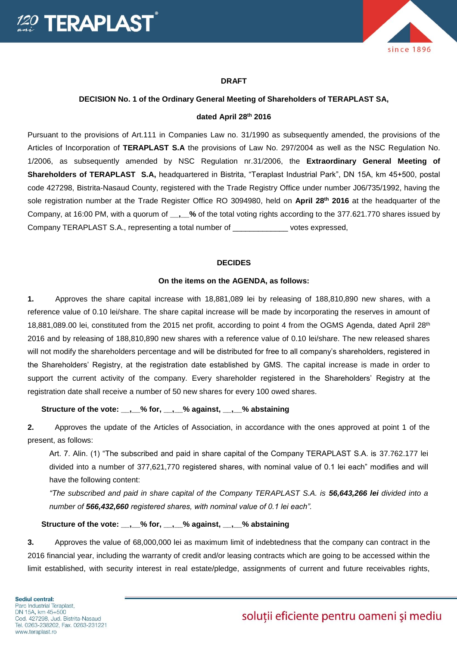

# **DRAFT**

### **DECISION No. 1 of the Ordinary General Meeting of Shareholders of TERAPLAST SA,**

#### **dated April 28th 2016**

Pursuant to the provisions of Art.111 in Companies Law no. 31/1990 as subsequently amended, the provisions of the Articles of Incorporation of **TERAPLAST S.A** the provisions of Law No. 297/2004 as well as the NSC Regulation No. 1/2006, as subsequently amended by NSC Regulation nr.31/2006, the **Extraordinary General Meeting of Shareholders of TERAPLAST S.A,** headquartered in Bistrita, "Teraplast Industrial Park", DN 15A, km 45+500, postal code 427298, Bistrita-Nasaud County, registered with the Trade Registry Office under number J06/735/1992, having the sole registration number at the Trade Register Office RO 3094980, held on **April 28th 2016** at the headquarter of the Company, at 16:00 PM, with a quorum of **\_\_,\_\_%** of the total voting rights according to the 377.621.770 shares issued by Company TERAPLAST S.A., representing a total number of \_\_\_\_\_\_\_\_\_\_\_\_\_ votes expressed,

#### **DECIDES**

## **On the items on the AGENDA, as follows:**

**1.** Approves the share capital increase with 18,881,089 lei by releasing of 188,810,890 new shares, with a reference value of 0.10 lei/share. The share capital increase will be made by incorporating the reserves in amount of 18,881,089.00 lei, constituted from the 2015 net profit, according to point 4 from the OGMS Agenda, dated April 28th 2016 and by releasing of 188,810,890 new shares with a reference value of 0.10 lei/share. The new released shares will not modify the shareholders percentage and will be distributed for free to all company's shareholders, registered in the Shareholders' Registry, at the registration date established by GMS. The capital increase is made in order to support the current activity of the company. Every shareholder registered in the Shareholders' Registry at the registration date shall receive a number of 50 new shares for every 100 owed shares.

### **Structure of the vote: \_\_,\_\_% for, \_\_,\_\_% against, \_\_,\_\_% abstaining**

**2.** Approves the update of the Articles of Association, in accordance with the ones approved at point 1 of the present, as follows:

Art. 7. Alin. (1) "The subscribed and paid in share capital of the Company TERAPLAST S.A. is 37.762.177 lei divided into a number of 377,621,770 registered shares, with nominal value of 0.1 lei each" modifies and will have the following content:

*"The subscribed and paid in share capital of the Company TERAPLAST S.A. is 56,643,266 lei divided into a number of 566,432,660 registered shares, with nominal value of 0.1 lei each".* 

# **Structure of the vote: \_\_,\_\_% for, \_\_,\_\_% against, \_\_,\_\_% abstaining**

**3.** Approves the value of 68,000,000 lei as maximum limit of indebtedness that the company can contract in the 2016 financial year, including the warranty of credit and/or leasing contracts which are going to be accessed within the limit established, with security interest in real estate/pledge, assignments of current and future receivables rights,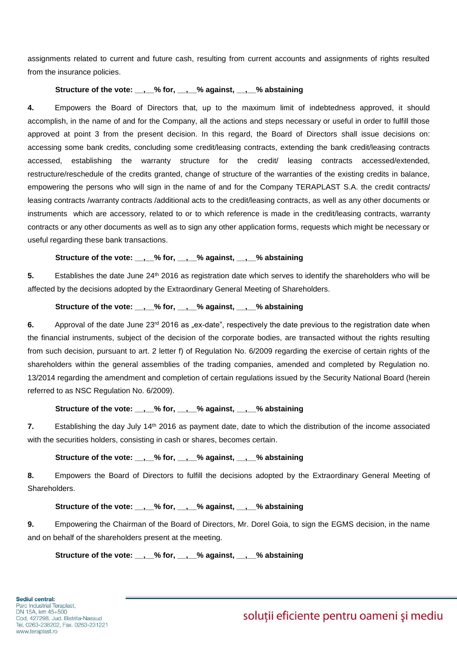assignments related to current and future cash, resulting from current accounts and assignments of rights resulted from the insurance policies.

# Structure of the vote: , % for, , % against, , % abstaining

**4.** Empowers the Board of Directors that, up to the maximum limit of indebtedness approved, it should accomplish, in the name of and for the Company, all the actions and steps necessary or useful in order to fulfill those approved at point 3 from the present decision. In this regard, the Board of Directors shall issue decisions on: accessing some bank credits, concluding some credit/leasing contracts, extending the bank credit/leasing contracts accessed, establishing the warranty structure for the credit/ leasing contracts accessed/extended, restructure/reschedule of the credits granted, change of structure of the warranties of the existing credits in balance, empowering the persons who will sign in the name of and for the Company TERAPLAST S.A. the credit contracts/ leasing contracts /warranty contracts /additional acts to the credit/leasing contracts, as well as any other documents or instruments which are accessory, related to or to which reference is made in the credit/leasing contracts, warranty contracts or any other documents as well as to sign any other application forms, requests which might be necessary or useful regarding these bank transactions.

# **Structure of the vote: \_\_,\_\_% for, \_\_,\_\_% against, \_\_,\_\_% abstaining**

**5.** Establishes the date June 24th 2016 as registration date which serves to identify the shareholders who will be affected by the decisions adopted by the Extraordinary General Meeting of Shareholders.

# **Structure of the vote: \_\_,\_\_% for, \_\_,\_\_% against, \_\_,\_\_% abstaining**

**6.** Approval of the date June 23<sup>rd</sup> 2016 as "ex-date", respectively the date previous to the registration date when the financial instruments, subject of the decision of the corporate bodies, are transacted without the rights resulting from such decision, pursuant to art. 2 letter f) of Regulation No. 6/2009 regarding the exercise of certain rights of the shareholders within the general assemblies of the trading companies, amended and completed by Regulation no. 13/2014 regarding the amendment and completion of certain regulations issued by the Security National Board (herein referred to as NSC Regulation No. 6/2009).

# **Structure of the vote: \_\_,\_\_% for, \_\_,\_\_% against, \_\_,\_\_% abstaining**

**7.** Establishing the day July 14<sup>th</sup> 2016 as payment date, date to which the distribution of the income associated with the securities holders, consisting in cash or shares, becomes certain.

# **Structure of the vote: \_\_,\_\_% for, \_\_,\_\_% against, \_\_,\_\_% abstaining**

**8.** Empowers the Board of Directors to fulfill the decisions adopted by the Extraordinary General Meeting of Shareholders.

### **Structure of the vote: \_\_,\_\_% for, \_\_,\_\_% against, \_\_,\_\_% abstaining**

**9.** Empowering the Chairman of the Board of Directors, Mr. Dorel Goia, to sign the EGMS decision, in the name and on behalf of the shareholders present at the meeting.

**Structure of the vote: \_\_,\_\_% for, \_\_,\_\_% against, \_\_,\_\_% abstaining**